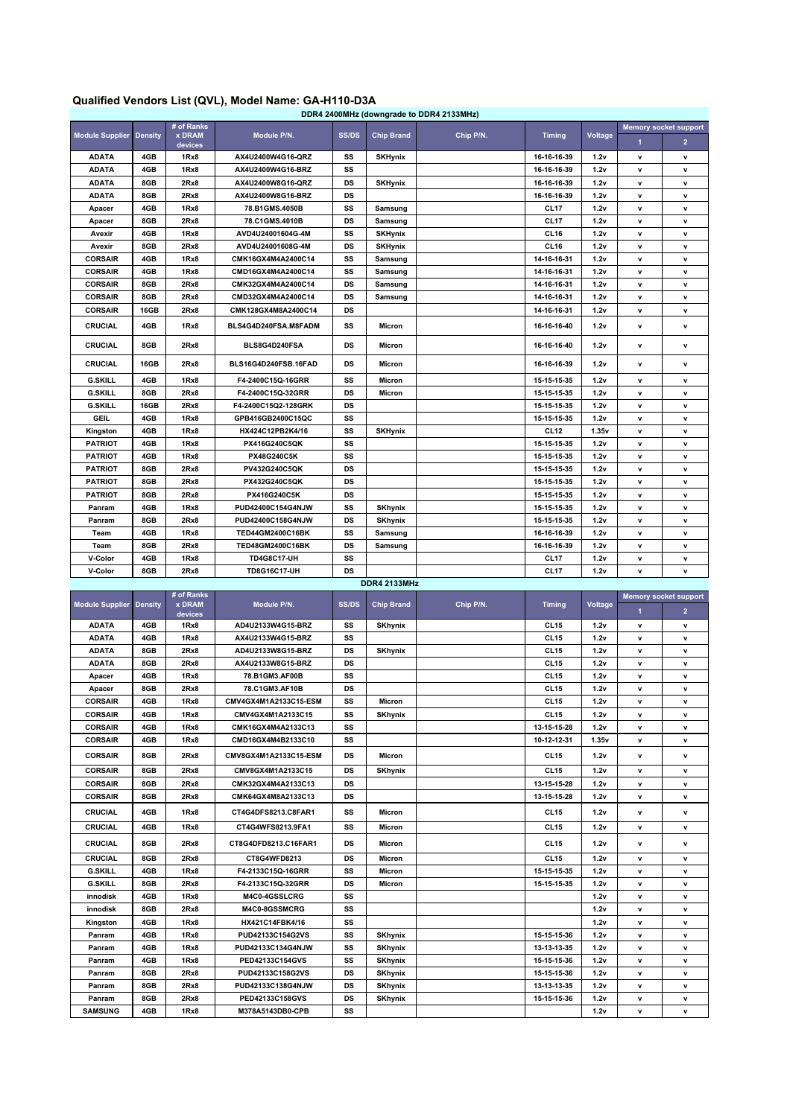## **Qualified Vendors List (QVL), Model Name: GA-H110-D3A**

| DDR4 2400MHz (downgrade to DDR4 2133MHz) |                |                                        |                         |              |                   |           |                  |         |                              |                |
|------------------------------------------|----------------|----------------------------------------|-------------------------|--------------|-------------------|-----------|------------------|---------|------------------------------|----------------|
| <b>Module Supplier</b>                   | <b>Density</b> | # of Ranks<br><b>x DRAM</b><br>devices | Module P/N.             | <b>SS/DS</b> | <b>Chip Brand</b> | Chip P/N. | <b>Timing</b>    | Voltage | <b>Memory socket support</b> |                |
|                                          |                |                                        |                         |              |                   |           |                  |         | 1                            | 2 <sup>2</sup> |
| <b>ADATA</b>                             | 4GB            | 1Rx8                                   | AX4U2400W4G16-QRZ       | SS           | <b>SKHynix</b>    |           | 16-16-16-39      | 1.2v    | $\mathbf v$                  | $\mathbf v$    |
| <b>ADATA</b>                             | 4GB            | 1Rx8                                   | AX4U2400W4G16-BRZ       | SS           |                   |           | 16-16-16-39      | 1.2v    | v                            | v              |
| <b>ADATA</b>                             | 8GB            | 2Rx8                                   | AX4U2400W8G16-QRZ       | DS           | <b>SKHynix</b>    |           | 16-16-16-39      | 1.2v    | $\mathsf{v}$                 | v              |
| <b>ADATA</b>                             | 8GB            | 2Rx8                                   | AX4U2400W8G16-BRZ       | <b>DS</b>    |                   |           | 16-16-16-39      | 1.2v    | $\mathbf v$                  | v              |
| Apacer                                   | 4GB            | 1Rx8                                   | 78.B1GMS.4050B          | SS           | Samsung           |           | CL17             | 1.2v    | $\mathbf v$                  | v              |
| Apacer                                   | 8GB            | 2Rx8                                   | 78.C1GMS.4010B          | DS           | Samsung           |           | CL17             | 1.2v    | $\mathbf v$                  | v              |
| Avexir                                   | 4GB            | 1Rx8                                   | AVD4U24001604G-4M       | SS           | <b>SKHynix</b>    |           | CL <sub>16</sub> | 1.2v    | $\mathbf v$                  | v              |
| Avexir                                   | 8GB            | 2Rx8                                   | AVD4U24001608G-4M       | DS           | <b>SKHynix</b>    |           | CL16             | 1.2v    | $\mathsf{v}$                 | v              |
| <b>CORSAIR</b>                           | 4GB            | 1Rx8                                   | CMK16GX4M4A2400C14      | SS           | Samsung           |           | 14-16-16-31      | 1.2v    | $\mathbf v$                  | v              |
| <b>CORSAIR</b>                           | 4GB            | 1Rx8                                   | CMD16GX4M4A2400C14      | SS           | Samsung           |           | 14-16-16-31      | 1.2v    | $\mathbf v$                  | v              |
| <b>CORSAIR</b>                           | 8GB            | 2Rx8                                   | CMK32GX4M4A2400C14      | <b>DS</b>    | Samsung           |           | 14-16-16-31      | 1.2v    | $\mathbf v$                  | v              |
| <b>CORSAIR</b>                           | 8GB            | 2Rx8                                   | CMD32GX4M4A2400C14      | <b>DS</b>    | Samsung           |           | 14-16-16-31      | 1.2v    | $\mathbf v$                  | v              |
| <b>CORSAIR</b>                           | 16GB           | 2Rx8                                   | CMK128GX4M8A2400C14     | DS           |                   |           | 14-16-16-31      | 1.2v    | $\mathsf{v}$                 | v              |
| <b>CRUCIAL</b>                           | 4GB            | 1Rx8                                   | BLS4G4D240FSA.M8FADM    | SS           | <b>Micron</b>     |           | 16-16-16-40      | 1.2v    | v                            | v              |
| <b>CRUCIAL</b>                           | 8GB            | 2Rx8                                   | BLS8G4D240FSA           | DS           | Micron            |           | 16-16-16-40      | 1.2v    | $\mathsf{v}$                 | v              |
| <b>CRUCIAL</b>                           | 16GB           | 2Rx8                                   | BLS16G4D240FSB.16FAD    | <b>DS</b>    | <b>Micron</b>     |           | 16-16-16-39      | 1.2v    | $\mathbf v$                  | v              |
| <b>G.SKILL</b>                           | 4GB            | 1Rx8                                   | F4-2400C15Q-16GRR       | SS           | Micron            |           | 15-15-15-35      | 1.2v    | $\mathsf{v}$                 | v              |
| <b>G.SKILL</b>                           | 8GB            | 2Rx8                                   | F4-2400C15Q-32GRR       | DS           | <b>Micron</b>     |           | 15-15-15-35      | 1.2v    | $\mathbf v$                  | v              |
| <b>G.SKILL</b>                           | 16GB           | 2Rx8                                   | F4-2400C15Q2-128GRK     | <b>DS</b>    |                   |           | 15-15-15-35      | 1.2v    | $\mathbf v$                  | v              |
| <b>GEIL</b>                              | 4GB            | 1Rx8                                   | GPB416GB2400C15QC       | SS           |                   |           | 15-15-15-35      | 1.2v    | $\mathbf v$                  | v              |
| Kingston                                 | 4GB            | 1Rx8                                   | HX424C12PB2K4/16        | SS           | <b>SKHynix</b>    |           | CL12             | 1.35v   | $\mathsf{v}$                 | v              |
| <b>PATRIOT</b>                           | 4GB            | 1Rx8                                   | PX416G240C5QK           | SS           |                   |           | 15-15-15-35      | 1.2v    | $\mathsf{v}$                 | v              |
| <b>PATRIOT</b>                           | 4GB            | 1Rx8                                   | PX48G240C5K             | SS           |                   |           | 15-15-15-35      | 1.2v    | $\mathbf v$                  | v              |
| <b>PATRIOT</b>                           | 8GB            | 2Rx8                                   | PV432G240C5QK           | <b>DS</b>    |                   |           | 15-15-15-35      | 1.2v    | $\mathbf v$                  | v              |
| <b>PATRIOT</b>                           | 8GB            | 2Rx8                                   | PX432G240C5QK           | DS           |                   |           | 15-15-15-35      | 1.2v    | v                            | v              |
| <b>PATRIOT</b>                           | 8GB            | 2Rx8                                   | PX416G240C5K            | DS           |                   |           | 15-15-15-35      | 1.2v    | $\mathsf{v}$                 | v              |
| Panram                                   | 4GB            | 1Rx8                                   | PUD42400C154G4NJW       | SS           | <b>SKhynix</b>    |           | 15-15-15-35      | 1.2v    | $\mathsf{v}$                 | v              |
| Panram                                   | 8GB            | 2Rx8                                   | PUD42400C158G4NJW       | <b>DS</b>    | <b>SKhynix</b>    |           | 15-15-15-35      | 1.2v    | $\mathbf v$                  | v              |
| Team                                     | 4GB            | 1Rx8                                   | <b>TED44GM2400C16BK</b> | SS           | Samsung           |           | 16-16-16-39      | 1.2v    | v                            | v              |
| Team                                     | 8GB            | 2Rx8                                   | TED48GM2400C16BK        | <b>DS</b>    | Samsung           |           | 16-16-16-39      | 1.2v    | v                            | v              |
| V-Color                                  | 4GB            | 1Rx8                                   | <b>TD4G8C17-UH</b>      | SS           |                   |           | CL17             | 1.2v    | $\mathsf{v}$                 | v              |
| V-Color                                  | 8GB            | 2Rx8                                   | <b>TD8G16C17-UH</b>     | <b>DS</b>    |                   |           | <b>CL17</b>      | 1.2v    | $\mathbf v$                  | v              |
| <b>DDR4 2133MHz</b>                      |                |                                        |                         |              |                   |           |                  |         |                              |                |

| <b>Module Supplier Density</b> |     | # of Ranks<br><b>x DRAM</b><br>devices | Module P/N.           | <b>SS/DS</b> | <b>Chip Brand</b> | Chip P/N. | <b>Timina</b>    | Voltage | <b>Memory socket support</b> |                |
|--------------------------------|-----|----------------------------------------|-----------------------|--------------|-------------------|-----------|------------------|---------|------------------------------|----------------|
|                                |     |                                        |                       |              |                   |           |                  |         | $\blacksquare$               | 2 <sup>1</sup> |
| <b>ADATA</b>                   | 4GB | 1Rx8                                   | AD4U2133W4G15-BRZ     | SS           | <b>SKhynix</b>    |           | <b>CL15</b>      | 1.2v    | $\mathbf v$                  | v              |
| <b>ADATA</b>                   | 4GB | 1Rx8                                   | AX4U2133W4G15-BRZ     | SS           |                   |           | <b>CL15</b>      | 1.2v    | $\mathbf v$                  | $\mathbf v$    |
| <b>ADATA</b>                   | 8GB | 2Rx8                                   | AD4U2133W8G15-BRZ     | DS           | <b>SKhynix</b>    |           | <b>CL15</b>      | 1.2v    | $\mathbf v$                  | v              |
| <b>ADATA</b>                   | 8GB | 2Rx8                                   | AX4U2133W8G15-BRZ     | DS           |                   |           | <b>CL15</b>      | 1.2v    | $\mathbf v$                  | v              |
| Apacer                         | 4GB | 1Rx8                                   | 78.B1GM3.AF00B        | SS           |                   |           | <b>CL15</b>      | 1.2v    | $\mathbf{v}$                 | v              |
| Apacer                         | 8GB | 2Rx8                                   | 78.C1GM3.AF10B        | DS           |                   |           | <b>CL15</b>      | 1.2v    | $\mathbf v$                  | $\mathbf v$    |
| <b>CORSAIR</b>                 | 4GB | 1Rx8                                   | CMV4GX4M1A2133C15-ESM | SS           | Micron            |           | <b>CL15</b>      | 1.2v    | $\mathbf v$                  | v              |
| <b>CORSAIR</b>                 | 4GB | 1Rx8                                   | CMV4GX4M1A2133C15     | SS           | <b>SKhynix</b>    |           | <b>CL15</b>      | 1.2v    | $\mathbf v$                  | v              |
| <b>CORSAIR</b>                 | 4GB | 1Rx8                                   | CMK16GX4M4A2133C13    | SS           |                   |           | 13-15-15-28      | 1.2v    | $\mathbf v$                  | v              |
| <b>CORSAIR</b>                 | 4GB | 1Rx8                                   | CMD16GX4M4B2133C10    | SS           |                   |           | 10-12-12-31      | 1.35v   | $\mathbf v$                  | v              |
| <b>CORSAIR</b>                 | 8GB | 2Rx8                                   | CMV8GX4M1A2133C15-ESM | <b>DS</b>    | <b>Micron</b>     |           | <b>CL15</b>      | 1.2v    | $\mathbf v$                  | v              |
| <b>CORSAIR</b>                 | 8GB | 2Rx8                                   | CMV8GX4M1A2133C15     | DS           | <b>SKhynix</b>    |           | <b>CL15</b>      | 1.2v    | $\mathbf v$                  | v              |
| <b>CORSAIR</b>                 | 8GB | 2Rx8                                   | CMK32GX4M4A2133C13    | DS           |                   |           | 13-15-15-28      | 1.2v    | $\mathbf v$                  | v              |
| <b>CORSAIR</b>                 | 8GB | 2Rx8                                   | CMK64GX4M8A2133C13    | DS           |                   |           | 13-15-15-28      | 1.2v    | $\mathbf v$                  | v              |
| <b>CRUCIAL</b>                 | 4GB | 1Rx8                                   | CT4G4DFS8213.C8FAR1   | SS           | <b>Micron</b>     |           | <b>CL15</b>      | 1.2v    | $\mathbf{v}$                 | v              |
| <b>CRUCIAL</b>                 | 4GB | 1Rx8                                   | CT4G4WFS8213.9FA1     | SS           | <b>Micron</b>     |           | <b>CL15</b>      | 1.2v    | $\mathbf{v}$                 | v              |
| <b>CRUCIAL</b>                 | 8GB | 2Rx8                                   | CT8G4DFD8213.C16FAR1  | DS           | <b>Micron</b>     |           | CL <sub>15</sub> | 1.2v    | $\mathbf v$                  | v              |
| <b>CRUCIAL</b>                 | 8GB | 2Rx8                                   | CT8G4WFD8213          | DS           | <b>Micron</b>     |           | <b>CL15</b>      | 1.2v    | $\mathbf{v}$                 | v              |
| <b>G.SKILL</b>                 | 4GB | 1Rx8                                   | F4-2133C15Q-16GRR     | SS           | <b>Micron</b>     |           | 15-15-15-35      | 1.2v    | $\mathbf{v}$                 | v              |
| <b>G.SKILL</b>                 | 8GB | 2Rx8                                   | F4-2133C15Q-32GRR     | DS           | Micron            |           | 15-15-15-35      | 1.2v    | $\mathbf v$                  | v              |
| innodisk                       | 4GB | 1Rx8                                   | M4C0-4GSSLCRG         | SS           |                   |           |                  | 1.2v    | $\mathbf v$                  | v              |
| innodisk                       | 8GB | 2Rx8                                   | M4C0-8GSSMCRG         | SS           |                   |           |                  | 1.2v    | $\mathbf{v}$                 | v              |
| Kingston                       | 4GB | 1Rx8                                   | HX421C14FBK4/16       | SS           |                   |           |                  | 1.2v    | $\mathbf v$                  | $\mathbf v$    |
| Panram                         | 4GB | 1Rx8                                   | PUD42133C154G2VS      | SS           | <b>SKhynix</b>    |           | 15-15-15-36      | 1.2v    | $\mathbf v$                  | v              |
| Panram                         | 4GB | 1Rx8                                   | PUD42133C134G4NJW     | SS           | <b>SKhynix</b>    |           | 13-13-13-35      | 1.2v    | $\mathbf v$                  | v              |
| Panram                         | 4GB | 1Rx8                                   | PED42133C154GVS       | SS           | <b>SKhynix</b>    |           | 15-15-15-36      | 1.2v    | $\mathbf{v}$                 | v              |
| Panram                         | 8GB | 2Rx8                                   | PUD42133C158G2VS      | DS           | <b>SKhynix</b>    |           | 15-15-15-36      | 1.2v    | $\mathbf v$                  | v              |
| Panram                         | 8GB | 2Rx8                                   | PUD42133C138G4NJW     | DS           | <b>SKhynix</b>    |           | 13-13-13-35      | 1.2v    | $\mathbf v$                  | v              |
| Panram                         | 8GB | 2Rx8                                   | PED42133C158GVS       | DS           | <b>SKhynix</b>    |           | 15-15-15-36      | 1.2v    | v                            | v              |
| <b>SAMSUNG</b>                 | 4GB | 1Rx8                                   | M378A5143DB0-CPB      | SS           |                   |           |                  | 1.2v    | $\mathbf v$                  | v              |